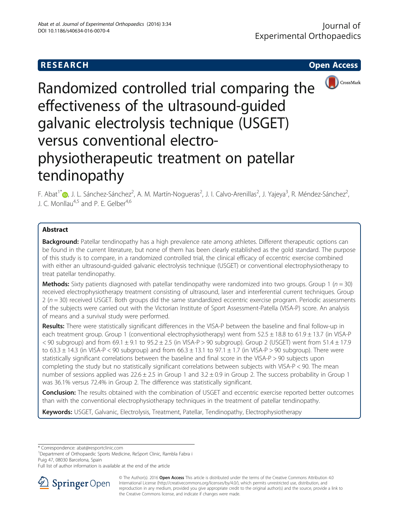

Randomized controlled trial comparing the effectiveness of the ultrasound-guided galvanic electrolysis technique (USGET) versus conventional electrophysiotherapeutic treatment on patellar tendinopathy

F. Abat<sup>1</sup>\*®[,](http://orcid.org/0000-0002-5711-6640) J. L. Sánchez-Sánchez<sup>2</sup>, A. M. Martín-Nogueras<sup>2</sup>, J. I. Calvo-Arenillas<sup>2</sup>, J. Yajeya<sup>3</sup>, R. Méndez-Sánchez<sup>2</sup> .<br>, J. C. Monllau<sup>4,5</sup> and P. E. Gelber<sup>4,6</sup>

# Abstract

**Background:** Patellar tendinopathy has a high prevalence rate among athletes. Different therapeutic options can be found in the current literature, but none of them has been clearly established as the gold standard. The purpose of this study is to compare, in a randomized controlled trial, the clinical efficacy of eccentric exercise combined with either an ultrasound-guided galvanic electrolysis technique (USGET) or conventional electrophysiotherapy to treat patellar tendinopathy.

**Methods:** Sixty patients diagnosed with patellar tendinopathy were randomized into two groups. Group 1 ( $n = 30$ ) received electrophysiotherapy treatment consisting of ultrasound, laser and interferential current techniques. Group  $2 (n = 30)$  received USGET. Both groups did the same standardized eccentric exercise program. Periodic assessments of the subjects were carried out with the Victorian Institute of Sport Assessment-Patella (VISA-P) score. An analysis of means and a survival study were performed.

Results: There were statistically significant differences in the VISA-P between the baseline and final follow-up in each treatment group. Group 1 (conventional electrophysiotherapy) went from 52.5 ± 18.8 to 61.9 ± 13.7 (in VISA-P  $<$  90 subgroup) and from 69.1  $\pm$  9.1 to 95.2  $\pm$  2.5 (in VISA-P > 90 subgroup). Group 2 (USGET) went from 51.4  $\pm$  17.9 to  $63.3 \pm 14.3$  (in VISA-P < 90 subgroup) and from  $66.3 \pm 13.1$  to  $97.1 \pm 1.7$  (in VISA-P > 90 subgroup). There were statistically significant correlations between the baseline and final score in the VISA-P > 90 subjects upon completing the study but no statistically significant correlations between subjects with VISA-P < 90. The mean number of sessions applied was  $22.6 \pm 2.5$  in Group 1 and  $3.2 \pm 0.9$  in Group 2. The success probability in Group 1 was 36.1% versus 72.4% in Group 2. The difference was statistically significant.

**Conclusion:** The results obtained with the combination of USGET and eccentric exercise reported better outcomes than with the conventional electrophysiotherapy techniques in the treatment of patellar tendinopathy.

Keywords: USGET, Galvanic, Electrolysis, Treatment, Patellar, Tendinopathy, Electrophysiotherapy

\* Correspondence: [abat@resportclinic.com](mailto:abat@resportclinic.com) <sup>1</sup>

<sup>1</sup>Department of Orthopaedic Sports Medicine, ReSport Clinic, Rambla Fabra i Puig 47, 08030 Barcelona, Spain

Full list of author information is available at the end of the article



<sup>©</sup> The Author(s). 2016 Open Access This article is distributed under the terms of the Creative Commons Attribution 4.0 International License ([http://creativecommons.org/licenses/by/4.0/\)](http://creativecommons.org/licenses/by/4.0/), which permits unrestricted use, distribution, and reproduction in any medium, provided you give appropriate credit to the original author(s) and the source, provide a link to the Creative Commons license, and indicate if changes were made.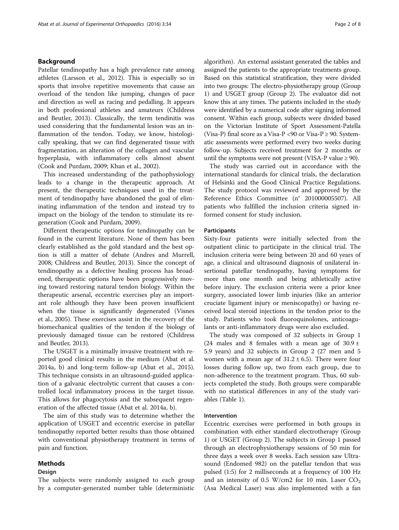# Background

Patellar tendinopathy has a high prevalence rate among athletes (Larsson et al., [2012\)](#page-7-0). This is especially so in sports that involve repetitive movements that cause an overload of the tendon like jumping, changes of pace and direction as well as racing and pedalling. It appears in both professional athletes and amateurs (Childress and Beutler, [2013\)](#page-7-0). Classically, the term tendinitis was used considering that the fundamental lesion was an inflammation of the tendon. Today, we know, histologically speaking, that we can find degenerated tissue with fragmentation, an alteration of the collagen and vascular hyperplasia, with inflammatory cells almost absent (Cook and Purdam, [2009;](#page-7-0) Khan et al., [2002\)](#page-7-0).

This increased understanding of the pathophysiology leads to a change in the therapeutic approach. At present, the therapeutic techniques used in the treatment of tendinopathy have abandoned the goal of eliminating inflammation of the tendon and instead try to impact on the biology of the tendon to stimulate its regeneration (Cook and Purdam, [2009\)](#page-7-0).

Different therapeutic options for tendinopathy can be found in the current literature. None of them has been clearly established as the gold standard and the best option is still a matter of debate (Andres and Murrell, [2008](#page-7-0); Childress and Beutler, [2013](#page-7-0)). Since the concept of tendinopathy as a defective healing process has broadened, therapeutic options have been progressively moving toward restoring natural tendon biology. Within the therapeutic arsenal, eccentric exercises play an important role although they have been proven insufficient when the tissue is significantly degenerated (Visnes et al., [2005](#page-7-0)). These exercises assist in the recovery of the biomechanical qualities of the tendon if the biology of previously damaged tissue can be restored (Childress and Beutler, [2013](#page-7-0)).

The USGET is a minimally invasive treatment with reported good clinical results in the medium (Abat et al. [2014a, b\)](#page-7-0) and long-term follow-up (Abat et al., [2015](#page-7-0)). This technique consists in an ultrasound-guided application of a galvanic electrolytic current that causes a controlled local inflammatory process in the target tissue. This allows for phagocytosis and the subsequent regeneration of the affected tissue (Abat et al. [2014a](#page-7-0), [b\)](#page-7-0).

The aim of this study was to determine whether the application of USGET and eccentric exercise in patellar tendinopathy reported better results than those obtained with conventional physiotherapy treatment in terms of pain and function.

# Methods

### Design

The subjects were randomly assigned to each group by a computer-generated number table (deterministic algorithm). An external assistant generated the tables and assigned the patients to the appropriate treatments group. Based on this statistical stratification, they were divided into two groups: The electro-physiotherapy group (Group 1) and USGET group (Group 2). The evaluator did not know this at any times. The patients included in the study were identified by a numerical code after signing informed consent. Within each group, subjects were divided based on the Victorian Institute of Sport Assessment-Patella (Visa-P) final score as a Visa-P <90 or Visa-P  $\geq$  90. Systematic assessments were performed every two weeks during follow-up. Subjects received treatment for 2 months or until the symptoms were not present (VISA-P value  $\geq$  90).

The study was carried out in accordance with the international standards for clinical trials, the declaration of Helsinki and the Good Clinical Practice Regulations. The study protocol was reviewed and approved by the Reference Ethics Committee (n° 201000005507). All patients who fulfilled the inclusion criteria signed informed consent for study inclusion.

### Participants

Sixty-four patients were initially selected from the outpatient clinic to participate in the clinical trial. The inclusion criteria were being between 20 and 60 years of age, a clinical and ultrasound diagnosis of unilateral insertional patellar tendinopathy, having symptoms for more than one month and being athletically active before injury. The exclusion criteria were a prior knee surgery, associated lower limb injuries (like an anterior cruciate ligament injury or meniscopathy) or having received local steroid injections in the tendon prior to the study. Patients who took fluoroquinolones, anticoagulants or anti-inflammatory drugs were also excluded.

The study was composed of 32 subjects in Group 1 (24 males and 8 females with a mean age of  $30.9 \pm$ 5.9 years) and 32 subjects in Group 2 (27 men and 5 women with a mean age of  $31.2 \pm 6.5$ ). There were four losses during follow up, two from each group, due to non-adherence to the treatment program. Thus, 60 subjects completed the study. Both groups were comparable with no statistical differences in any of the study variables (Table [1](#page-2-0)).

# Intervention

Eccentric exercises were performed in both groups in combination with either standard electrotherapy (Group 1) or USGET (Group 2). The subjects in Group 1 passed through an electrophysiotherapy sessions of 50 min for three days a week over 8 weeks. Each session saw Ultrasound (Endomed 982) on the patellar tendon that was pulsed (1:5) for 2 milliseconds at a frequency of 100 Hz and an intensity of 0.5 W/cm2 for 10 min. Laser  $CO<sub>2</sub>$ (Asa Medical Laser) was also implemented with a fan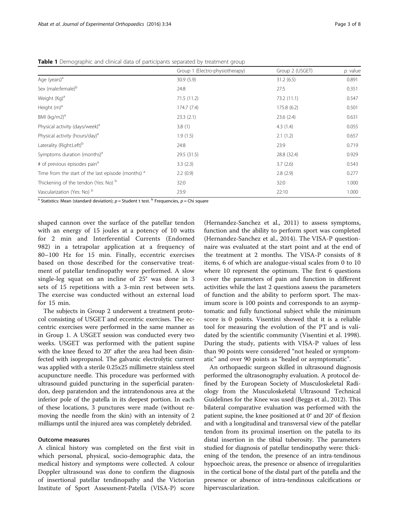|                                                    | Group 1 (Electro-physiotherapy) | Group 2 (USGET) | p. value |
|----------------------------------------------------|---------------------------------|-----------------|----------|
| Age (years) <sup>a</sup>                           | 30.9(5.9)                       | 31.2(6.5)       | 0.891    |
| Sex (male:female) <sup>b</sup>                     | 24:8                            | 27:5            | 0.351    |
| Weight (Kg) <sup>a</sup>                           | 71.5 (11.2)                     | 73.2 (11.1)     | 0.547    |
| Height $(m)^a$                                     | 174.7(7.4)                      | 175.8(6.2)      | 0.501    |
| BMI $(kq/m2)^a$                                    | 23.3(2.1)                       | 23.6(2.4)       | 0.631    |
| Physical activity (days/week) <sup>a</sup>         | 3.8(1)                          | 4.3(1.4)        | 0.055    |
| Physical activity (hours/day) <sup>a</sup>         | 1.9(1.5)                        | 2.1(1.2)        | 0.657    |
| Laterality (Right:Left) <sup>b</sup>               | 24:8                            | 23:9            | 0.719    |
| Symptoms duration (months) <sup>a</sup>            | 29.5 (31.5)                     | 28.8 (32.4)     | 0.929    |
| # of previous episodes pain <sup>a</sup>           | 3.3(2.3)                        | 3.7(2.6)        | 0.543    |
| Time from the start of the last episode (months) a | 2.2(0.9)                        | 2.8(2.9)        | 0.277    |
| Thickening of the tendon (Yes: No) b               | 32:0                            | 32:0            | 1.000    |
| Vascularization (Yes: No) <sup>b</sup><br>$h =$    | 23:9                            | 22:10           | 1.000    |

<span id="page-2-0"></span>Table 1 Demographic and clinical data of participants separated by treatment group

Statistics: Mean (standard deviation);  $p =$  Student t test.  $b$  Frequencies,  $p =$  Chi square

shaped cannon over the surface of the patellar tendon with an energy of 15 joules at a potency of 10 watts for 2 min and Interferential Currents (Endomed 982) in a tetrapolar application at a frequency of 80–100 Hz for 15 min. Finally, eccentric exercises based on those described for the conservative treatment of patellar tendinopathy were performed. A slow single-leg squat on an incline of 25° was done in 3 sets of 15 repetitions with a 3-min rest between sets. The exercise was conducted without an external load for 15 min.

The subjects in Group 2 underwent a treatment protocol consisting of USGET and eccentric exercises. The eccentric exercises were performed in the same manner as in Group 1. A USGET session was conducted every two weeks. USGET was performed with the patient supine with the knee flexed to 20° after the area had been disinfected with isopropanol. The galvanic electrolytic current was applied with a sterile 0.25x25 millimetre stainless steel acupuncture needle. This procedure was performed with ultrasound guided puncturing in the superficial paratendon, deep paratendon and the intratendonous area at the inferior pole of the patella in its deepest portion. In each of these locations, 3 punctures were made (without removing the needle from the skin) with an intensity of 2 milliamps until the injured area was completely debrided.

# Outcome measures

A clinical history was completed on the first visit in which personal, physical, socio-demographic data, the medical history and symptoms were collected. A colour Doppler ultrasound was done to confirm the diagnosis of insertional patellar tendinopathy and the Victorian Institute of Sport Assessment-Patella (VISA-P) score

(Hernandez-Sanchez et al., [2011](#page-7-0)) to assess symptoms, function and the ability to perform sport was completed (Hernandez-Sanchez et al., [2014\)](#page-7-0). The VISA-P questionnaire was evaluated at the start point and at the end of the treatment at 2 months. The VISA-P consists of 8 items, 6 of which are analogue-visual scales from 0 to 10 where 10 represent the optimum. The first 6 questions cover the parameters of pain and function in different activities while the last 2 questions assess the parameters of function and the ability to perform sport. The maximum score is 100 points and corresponds to an asymptomatic and fully functional subject while the minimum score is 0 points. Visentini showed that it is a reliable tool for measuring the evolution of the PT and is validated by the scientific community (Visentini et al. [1998](#page-7-0)). During the study, patients with VISA-P values of less than 90 points were considered "not healed or symptomatic" and over 90 points as "healed or asymptomatic".

An orthopaedic surgeon skilled in ultrasound diagnosis performed the ultrasonography evaluation. A protocol defined by the European Society of Musculoskeletal Radiology from the Musculoskeletal Ultrasound Technical Guidelines for the Knee was used (Beggs et al., [2012\)](#page-7-0). This bilateral comparative evaluation was performed with the patient supine, the knee positioned at 0° and 20° of flexion and with a longitudinal and transversal view of the patellar tendon from its proximal insertion on the patella to its distal insertion in the tibial tuberosity. The parameters studied for diagnosis of patellar tendinopathy were: thickening of the tendon, the presence of an intra-tendinous hypoechoic areas, the presence or absence of irregularities in the cortical bone of the distal part of the patella and the presence or absence of intra-tendinous calcifications or hipervascularization.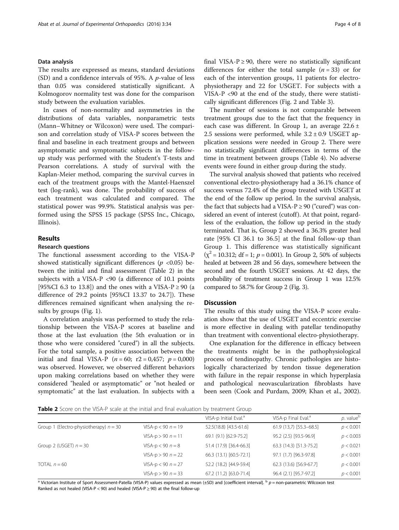### Data analysis

The results are expressed as means, standard deviations (SD) and a confidence intervals of 95%. A  $p$ -value of less than 0.05 was considered statistically significant. A Kolmogorov normality test was done for the comparison study between the evaluation variables.

In cases of non-normality and asymmetries in the distributions of data variables, nonparametric tests (Mann–Whitney or Wilcoxon) were used. The comparison and correlation study of VISA-P scores between the final and baseline in each treatment groups and between asymptomatic and symptomatic subjects in the followup study was performed with the Student's T-tests and Pearson correlations. A study of survival with the Kaplan-Meier method, comparing the survival curves in each of the treatment groups with the Mantel-Haenszel test (log-rank), was done. The probability of success of each treatment was calculated and compared. The statistical power was 99.9%. Statistical analysis was performed using the SPSS 15 package (SPSS Inc., Chicago, Illinois).

# Results

### Research questions

The functional assessment according to the VISA-P showed statistically significant differences ( $p \le 0.05$ ) between the initial and final assessment (Table 2) in the subjects with a VISA-P <90 (a difference of 10.1 points [95%CI 6.3 to 13.8]) and the ones with a VISA-P  $\geq$  90 (a difference of 29.2 points [95%CI 13.37 to 24.7]). These differences remained significant when analysing the results by groups (Fig. [1](#page-4-0)).

A correlation analysis was performed to study the relationship between the VISA-P scores at baseline and those at the last evaluation (the 5th evaluation or in those who were considered "cured") in all the subjects. For the total sample, a positive association between the initial and final VISA-P ( $n = 60$ ;  $r2 = 0.457$ ;  $p = 0.000$ ) was observed. However, we observed different behaviors upon making correlations based on whether they were considered "healed or asymptomatic" or "not healed or symptomatic" at the last evaluation. In subjects with a final VISA-P  $\geq$  90, there were no statistically significant differences for either the total sample  $(n = 33)$  or for each of the intervention groups, 11 patients for electrophysiotherapy and 22 for USGET. For subjects with a VISA-P <90 at the end of the study, there were statistically significant differences (Fig. [2](#page-4-0) and Table [3](#page-5-0)).

The number of sessions is not comparable between treatment groups due to the fact that the frequency in each case was different. In Group 1, an average 22.6 ± 2.5 sessions were performed, while  $3.2 \pm 0.9$  USGET application sessions were needed in Group 2. There were no statistically significant differences in terms of the time in treatment between groups (Table [4](#page-5-0)). No adverse events were found in either group during the study.

The survival analysis showed that patients who received conventional electro-physiotherapy had a 36.1% chance of success versus 72.4% of the group treated with USGET at the end of the follow up period. In the survival analysis, the fact that subjects had a VISA- $P \ge 90$  ("cured") was considered an event of interest (cutoff). At that point, regardless of the evaluation, the follow up period in the study terminated. That is, Group 2 showed a 36.3% greater heal rate [95% CI 36.1 to 36.5] at the final follow-up than Group 1. This difference was statistically significant  $(\chi^2 = 10.312; df = 1; p = 0.001)$ . In Group 2, 50% of subjects healed at between 28 and 56 days, somewhere between the second and the fourth USGET sessions. At 42 days, the probability of treatment success in Group 1 was 12.5% compared to 58.7% for Group 2 (Fig. [3\)](#page-6-0).

# **Discussion**

The results of this study using the VISA-P score evaluation show that the use of USGET and eccentric exercise is more effective in dealing with patellar tendinopathy than treatment with conventional electro-physiotherapy.

One explanation for the difference in efficacy between the treatments might be in the pathophysiological process of tendinopathy. Chronic pathologies are histologically characterized by tendon tissue degeneration with failure in the repair response in which hyperplasia and pathological neovascularization fibroblasts have been seen (Cook and Purdam, [2009](#page-7-0); Khan et al., [2002](#page-7-0)).

Table 2 Score on the VISA-P scale at the initial and final evaluation by treatment Group

|                                          |                      | VISA-p Initial Eval. <sup>a</sup> | VISA-p Final Eval. <sup>a</sup> | p. value <sup>b</sup> |
|------------------------------------------|----------------------|-----------------------------------|---------------------------------|-----------------------|
| Group 1 (Electro-physiotherapy) $n = 30$ | $VISA-p < 90 n = 19$ | 52.5(18.8) [43.5-61.6]            | 61.9 (13,7) [55.3-68.5]         | p < 0.001             |
|                                          | $VISA-p > 90 n = 11$ | 69.1 (9.1) [62.9-75.2]            | 95.2 (2.5) [93.5-96.9]          | p < 0.003             |
| Group 2 (USGET) $n = 30$                 | $VISA-p < 90 n = 8$  | 51.4 (17.9) [36.4-66.3]           | 63.3 (14.3) [51.3-75.2]         | p < 0.021             |
|                                          | $VISA-p > 90 n = 22$ | 66.3 (13.1) [60.5-72.1]           | 97.1 (1.7) [96.3-97.8]          | p < 0.001             |
| TOTAL $n = 60$                           | $VISA-p < 90 n = 27$ | 52.2 (18.2) [44.9-59.4]           | 62.3 (13.6) [56.9-67.7]         | p < 0.001             |
|                                          | $VISA-p > 90 n = 33$ | 67.2 (11.2) [63.0-71.4]           | 96.4 (2.1) [95.7-97.2]          | p < 0.001             |
|                                          |                      |                                   |                                 |                       |

<sup>a</sup> Victorian Institute of Sport Assessment-Patella (VISA-P) values expressed as mean (±SD) and [coefficient interval].  $^{\text{b}}$  p = non-parametric Wilcoxon test Ranked as not healed (VISA-P < 90) and healed (VISA-P  $\geq$  90) at the final follow-up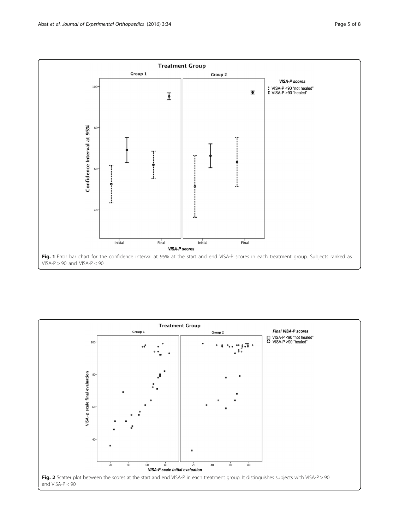<span id="page-4-0"></span>

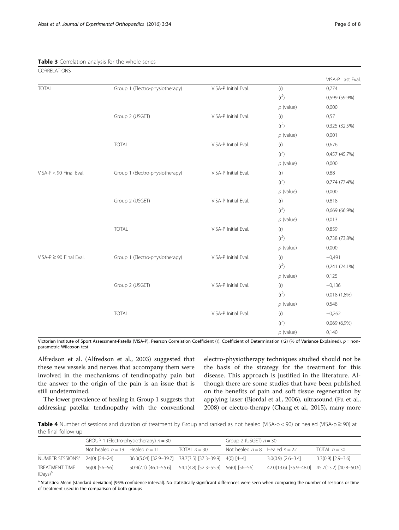<span id="page-5-0"></span>Table 3 Correlation analysis for the whole series

| CORRELATIONS                |                                 |                      |             |                   |
|-----------------------------|---------------------------------|----------------------|-------------|-------------------|
|                             |                                 |                      |             | VISA-P Last Eval. |
| <b>TOTAL</b>                | Group 1 (Electro-physiotherapy) | VISA-P Initial Eval. | (r)         | 0,774             |
|                             |                                 |                      | $(r^2)$     | 0,599 (59,9%)     |
|                             |                                 |                      | $p$ (value) | 0,000             |
|                             | Group 2 (USGET)                 | VISA-P Initial Eval. | (r)         | 0,57              |
|                             |                                 |                      | $(r^2)$     | 0,325 (32,5%)     |
|                             |                                 |                      | $p$ (value) | 0,001             |
|                             | <b>TOTAL</b>                    | VISA-P Initial Eval. | (r)         | 0,676             |
|                             |                                 |                      | $(r^2)$     | 0,457 (45,7%)     |
|                             |                                 |                      | $p$ (value) | 0,000             |
| $VISA-P < 90$ Final Eval.   | Group 1 (Electro-physiotherapy) | VISA-P Initial Eval. | (r)         | 0,88              |
|                             |                                 |                      | $(r^2)$     | 0,774 (77,4%)     |
|                             |                                 |                      | $p$ (value) | 0,000             |
|                             | Group 2 (USGET)                 | VISA-P Initial Eval. | (r)         | 0,818             |
|                             |                                 |                      | $(r^2)$     | 0,669 (66,9%)     |
|                             |                                 |                      | $p$ (value) | 0,013             |
|                             | <b>TOTAL</b>                    | VISA-P Initial Eval. | (r)         | 0,859             |
|                             |                                 |                      | $(r^2)$     | 0,738 (73,8%)     |
|                             |                                 |                      | $p$ (value) | 0,000             |
| $VISA-P \ge 90$ Final Eval. | Group 1 (Electro-physiotherapy) | VISA-P Initial Eval. | (r)         | $-0,491$          |
|                             |                                 |                      | $(r^2)$     | $0,241(24,1\%)$   |
|                             |                                 |                      | $p$ (value) | 0,125             |
|                             | Group 2 (USGET)                 | VISA-P Initial Eval. | (r)         | $-0,136$          |
|                             |                                 |                      | $(r^2)$     | 0,018 (1,8%)      |
|                             |                                 |                      | $p$ (value) | 0,548             |
|                             | <b>TOTAL</b>                    | VISA-P Initial Eval. | (r)         | $-0,262$          |
|                             |                                 |                      | $(r^2)$     | 0,069 (6,9%)      |
|                             |                                 |                      | $p$ (value) | 0,140             |

Victorian Institute of Sport Assessment-Patella (VISA-P). Pearson Correlation Coefficient (r). Coefficient of Determination (r2) (% of Variance Explained). p = nonparametric Wilcoxon test

Alfredson et al. (Alfredson et al., [2003\)](#page-7-0) suggested that these new vessels and nerves that accompany them were involved in the mechanisms of tendinopathy pain but the answer to the origin of the pain is an issue that is still undetermined.

The lower prevalence of healing in Group 1 suggests that addressing patellar tendinopathy with the conventional

electro-physiotherapy techniques studied should not be the basis of the strategy for the treatment for this disease. This approach is justified in the literature. Although there are some studies that have been published on the benefits of pain and soft tissue regeneration by applying laser (Bjordal et al., [2006\)](#page-7-0), ultrasound (Fu et al., [2008\)](#page-7-0) or electro-therapy (Chang et al., [2015](#page-7-0)), many more

Table 4 Number of sessions and duration of treatment by Group and ranked as not healed (VISA-p < 90) or healed (VISA-p  $\geq$  90) at the final follow-up

|                                            | GROUP 1 (Electro-physiotherapy) $n = 30$ |                                                                 | Group 2 (USGET) $n = 30$ |                                    |                                               |                        |
|--------------------------------------------|------------------------------------------|-----------------------------------------------------------------|--------------------------|------------------------------------|-----------------------------------------------|------------------------|
|                                            | Not healed $n = 19$ Healed $n = 11$      |                                                                 | TOTAL $n = 30$           | Not healed $n = 8$ Healed $n = 22$ |                                               | TOTAL $n = 30$         |
| NUMBER SESSIONS <sup>a</sup> 24(0) [24-24] |                                          | 36.3(5.04) [32.9-39.7] 38.7(3.5) [37.3-39.9] 4(0) [4-4]         |                          |                                    | $3.0(0.9)$ $[2.6-3.4]$                        | $3.3(0.9)$ $[2.9-3.6]$ |
| TREATMENT TIME<br>$(Days)^a$               | 56(0) [56-56]                            | $50.9(7.1)$ [46.1-55.6] $54.1(4.8)$ [52.3-55.9] $56(0)$ [56-56] |                          |                                    | 42.0(13.6) [35.9-48.0] 45.7(13.2) [40.8-50.6] |                        |

a Statistics: Mean (standard deviation) [95% confidence interval]. No statistically significant differences were seen when comparing the number of sessions or time of treatment used in the comparison of both groups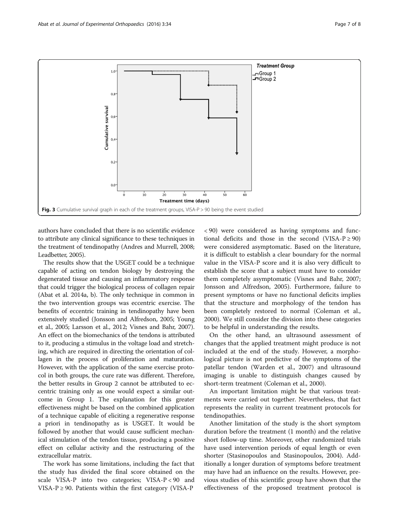<span id="page-6-0"></span>

authors have concluded that there is no scientific evidence to attribute any clinical significance to these techniques in the treatment of tendinopathy (Andres and Murrell, [2008](#page-7-0); Leadbetter, [2005\)](#page-7-0).

The results show that the USGET could be a technique capable of acting on tendon biology by destroying the degenerated tissue and causing an inflammatory response that could trigger the biological process of collagen repair (Abat et al. [2014a](#page-7-0), [b](#page-7-0)). The only technique in common in the two intervention groups was eccentric exercise. The benefits of eccentric training in tendinopathy have been extensively studied (Jonsson and Alfredson, [2005](#page-7-0); Young et al., [2005;](#page-7-0) Larsson et al., [2012;](#page-7-0) Visnes and Bahr, [2007](#page-7-0)). An effect on the biomechanics of the tendons is attributed to it, producing a stimulus in the voltage load and stretching, which are required in directing the orientation of collagen in the process of proliferation and maturation. However, with the application of the same exercise protocol in both groups, the cure rate was different. Therefore, the better results in Group 2 cannot be attributed to eccentric training only as one would expect a similar outcome in Group 1. The explanation for this greater effectiveness might be based on the combined application of a technique capable of eliciting a regenerative response a priori in tendinopathy as is USGET. It would be followed by another that would cause sufficient mechanical stimulation of the tendon tissue, producing a positive effect on cellular activity and the restructuring of the extracellular matrix.

The work has some limitations, including the fact that the study has divided the final score obtained on the scale VISA-P into two categories; VISA-P < 90 and VISA-P ≥ 90. Patients within the first category (VISA-P

< 90) were considered as having symptoms and functional deficits and those in the second (VISA-P  $\geq$  90) were considered asymptomatic. Based on the literature, it is difficult to establish a clear boundary for the normal value in the VISA-P score and it is also very difficult to establish the score that a subject must have to consider them completely asymptomatic (Visnes and Bahr, [2007](#page-7-0); Jonsson and Alfredson, [2005](#page-7-0)). Furthermore, failure to present symptoms or have no functional deficits implies that the structure and morphology of the tendon has been completely restored to normal (Coleman et al., [2000](#page-7-0)). We still consider the division into these categories to be helpful in understanding the results.

On the other hand, an ultrasound assessment of changes that the applied treatment might produce is not included at the end of the study. However, a morphological picture is not predictive of the symptoms of the patellar tendon (Warden et al., [2007\)](#page-7-0) and ultrasound imaging is unable to distinguish changes caused by short-term treatment (Coleman et al., [2000\)](#page-7-0).

An important limitation might be that various treatments were carried out together. Nevertheless, that fact represents the reality in current treatment protocols for tendinopathies.

Another limitation of the study is the short symptom duration before the treatment (1 month) and the relative short follow-up time. Moreover, other randomized trials have used intervention periods of equal length or even shorter (Stasinopoulos and Stasinopoulos, [2004](#page-7-0)). Additionally a longer duration of symptoms before treatment may have had an influence on the results. However, previous studies of this scientific group have shown that the effectiveness of the proposed treatment protocol is